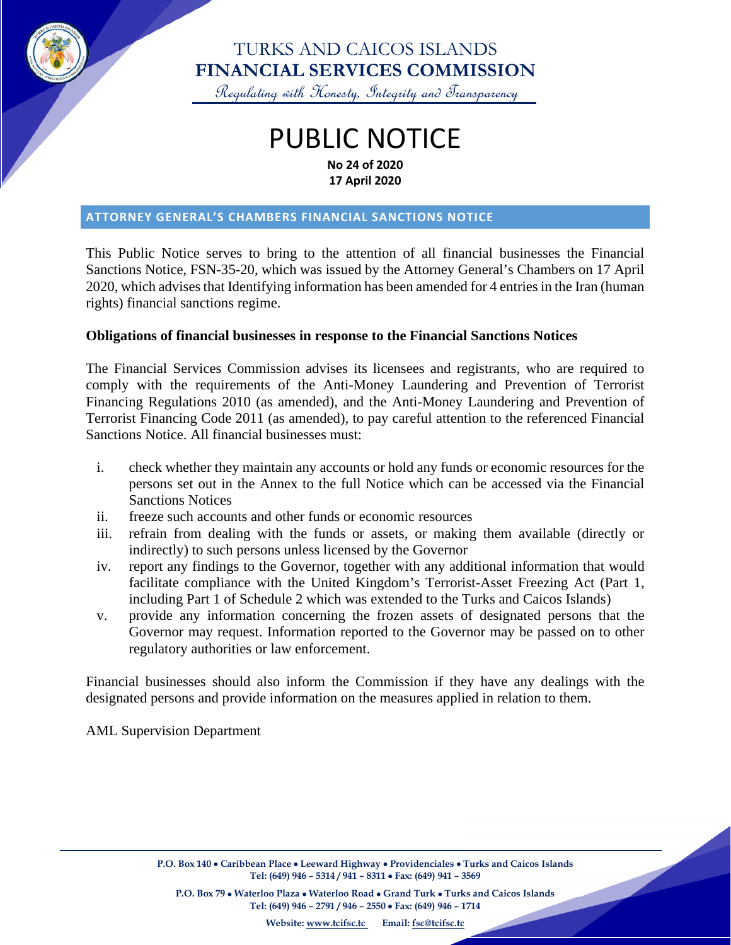

# TURKS AND CAICOS ISLANDS **FINANCIAL SERVICES COMMISSION**

Regulating with Honesty, Integrity and Transparency

# PUBLIC NOTICE **No 24 of 2020 17 April 2020**

#### **ATTORNEY GENERAL'S CHAMBERS FINANCIAL SANCTIONS NOTICE**

This Public Notice serves to bring to the attention of all financial businesses the Financial Sanctions Notice, FSN-35-20, which was issued by the Attorney General's Chambers on 17 April 2020, which advises that Identifying information has been amended for 4 entries in the Iran (human rights) financial sanctions regime.

#### **Obligations of financial businesses in response to the Financial Sanctions Notices**

The Financial Services Commission advises its licensees and registrants, who are required to comply with the requirements of the Anti-Money Laundering and Prevention of Terrorist Financing Regulations 2010 (as amended), and the Anti-Money Laundering and Prevention of Terrorist Financing Code 2011 (as amended), to pay careful attention to the referenced Financial Sanctions Notice. All financial businesses must:

- i. check whether they maintain any accounts or hold any funds or economic resources for the persons set out in the Annex to the full Notice which can be accessed via the Financial Sanctions Notices
- ii. freeze such accounts and other funds or economic resources
- iii. refrain from dealing with the funds or assets, or making them available (directly or indirectly) to such persons unless licensed by the Governor
- iv. report any findings to the Governor, together with any additional information that would facilitate compliance with the United Kingdom's Terrorist-Asset Freezing Act (Part 1, including Part 1 of Schedule 2 which was extended to the Turks and Caicos Islands)
- v. provide any information concerning the frozen assets of designated persons that the Governor may request. Information reported to the Governor may be passed on to other regulatory authorities or law enforcement.

Financial businesses should also inform the Commission if they have any dealings with the designated persons and provide information on the measures applied in relation to them.

AML Supervision Department

**P.O. Box 140** • **Caribbean Place** • **Leeward Highway** • **Providenciales** • **Turks and Caicos Islands Tel: (649) 946 – 5314 / 941 – 8311** • **Fax: (649) 941 – 3569**

**P.O. Box 79** • **Waterloo Plaza** • **Waterloo Road** • **Grand Turk** • **Turks and Caicos Islands Tel: (649) 946 – 2791 / 946 – 2550** • **Fax: (649) 946 – 1714**

**Website: [www.tcifsc.tc](http://www.tcifsc.tc/) Email[: fsc@tcifsc.tc](mailto:fsc@tcifsc.tc)**